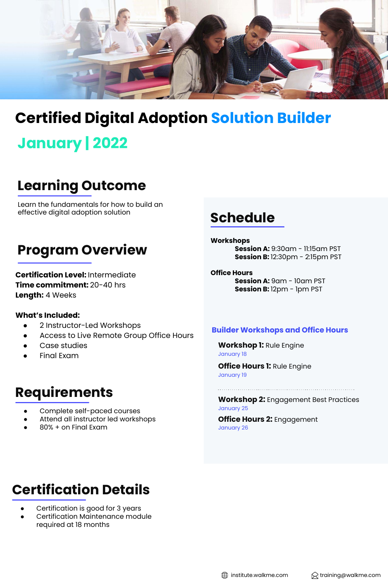

## **Certified Digital Adoption Solution Builder**

## **January | 2022**

### **Learning Outcome**

Learn the fundamentals for how to build an effective digital adoption solution

### **Program Overview**

**Certification Level:** Intermediate **Time commitment:** 20-40 hrs **Length:** 4 Weeks

#### **What's Included:**

- 2 Instructor-Led Workshops
- Access to Live Remote Group Office Hours
- Case studies
- **Final Exam**

### **Requirements**

- Complete self-paced courses
- Attend all instructor led workshops
- 80% + on Final Exam

### **Schedule**

#### **Workshops**

**Session A:** 9:30am - 11:15am PST **Session B:** 12:30pm - 2:15pm PST

### **Office Hours**

**Session A:**  $9$ **am - 10am PST Session B:** 12pm - 1pm PST

#### **Builder Workshops and Office Hours**

**Workshop 1:** Rule Engine January 18

**Office Hours 1:** Rule Engine January 19

**Workshop 2:** Engagement Best Practices January 25

**Office Hours 2:** Engagement January 26

## **Certification Details**

- Certification is good for 3 years
- Certification Maintenance module required at 18 months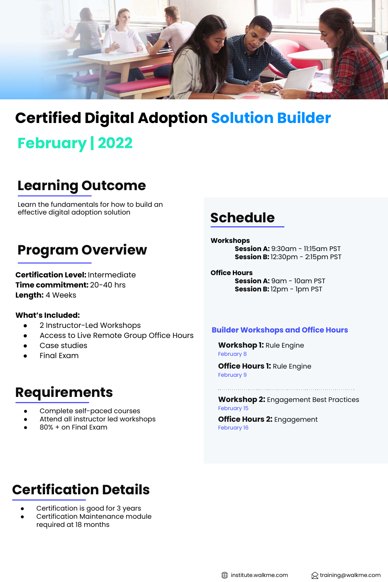

### **Certified Digital Adoption Solution Builder**

# **February | 2022**

### **Learning Outcome**

Learn the fundamentals for how to build an effective digital adoption solution

### **Program Overview**

**Certification Level:** Intermediate **Time commitment:** 20-40 hrs **Length:** 4 Weeks

#### **What's Included:**

- 2 Instructor-Led Workshops
- Access to Live Remote Group Office Hours
- Case studies
- **Final Exam**

### **Requirements**

- Complete self-paced courses
- Attend all instructor led workshops
- 80% + on Final Exam

### **Schedule**

#### **Workshops**

**Session A:** 9:30am - 11:15am PST **Session B:** 12:30pm - 2:15pm PST

#### **Office Hours Session A:**  $9$ **am - 10am PST Session B:** 12pm - 1pm PST

#### **Builder Workshops and Office Hours**

**Workshop 1:** Rule Engine February 8

**Office Hours 1:** Rule Engine February 9

**Workshop 2:** Engagement Best Practices February 15

**Office Hours 2:** Engagement February 16

## **Certification Details**

- Certification is good for 3 years
- Certification Maintenance module required at 18 months